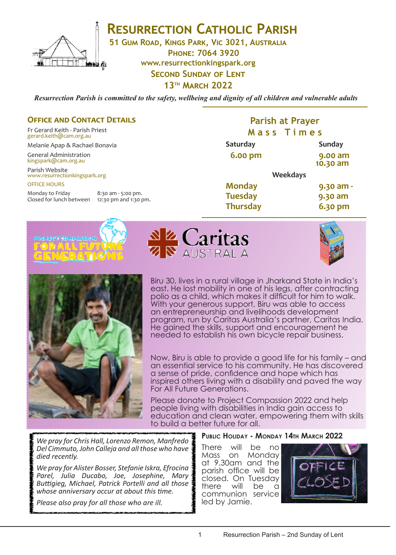

# **RESURRECTION CATHOLIC PARISH**

**51 Gum Road, Kings Park, Vic 3021, Australia**

**Phone: 7064 3920 www.resurrectionkingspark.org Second Sunday of Lent 13th March 2022**

*Resurrection Parish is committed to the safety, wellbeing and dignity of all children and vulnerable adults*

### **OFFICE AND CONTACT DETAILS**

Fr Gerard Keith - Parish Priest gerard.keith@cam.org.au

Melanie Apap & Rachael Bonavia

General Administration kingspark@cam.org.au

Parish Website www.resurrectionkingspark.org OFFICE HOURS

Monday to Friday 8:30 am - 5:00 pm.<br>Closed for lunch between 12:30 pm and 1:30 pm. Closed for lunch between

# **Parish at Prayer M a s s T i m e s**

| Saturday        |                 | Sunday              |
|-----------------|-----------------|---------------------|
| 6.00 pm         |                 | 9.00 am<br>10.30 am |
|                 | <b>Weekdays</b> |                     |
| <b>Monday</b>   |                 | $9.30$ am -         |
| <b>Tuesday</b>  |                 | 9.30 am             |
| <b>Thursday</b> |                 | 6.30 pm             |









Biru 30, lives in a rural village in Jharkand State in India's east. He lost mobility in one of his legs, after contracting polio as a child, which makes it difficult for him to walk. With your generous support, Biru was able to access an entrepreneurship and livelihoods development program, run by Caritas Australia's partner, Caritas India. He gained the skills, support and encouragement he needed to establish his own bicycle repair business.

Now, Biru is able to provide a good life for his family – and an essential service to his community. He has discovered a sense of pride, confidence and hope which has inspired others living with a disability and paved the way For All Future Generations.

Please donate to Project Compassion 2022 and help people living with disabilities in India gain access to education and clean water, empowering them with skills to build a better future for all.

*We pray for Chris Hall, Lorenzo Remon, Manfredo Del Cimmuto, John Calleja and all those who have died recently.* 

*We pray for Alister Bosser, Stefanie Iskra, Efrocina Parel, Julia Ducabo, Joe, Josephine, Mary Buttigieg, Michael, Patrick Portelli and all those whose anniversary occur at about this time.*

*Please also pray for all those who are ill.*

#### **Public Holiday - Monday 14th March 2022**

There will be no Mass on Monday at 9.30am and the parish office will be closed. On Tuesday<br>there will be a there will be a communion service led by Jamie.